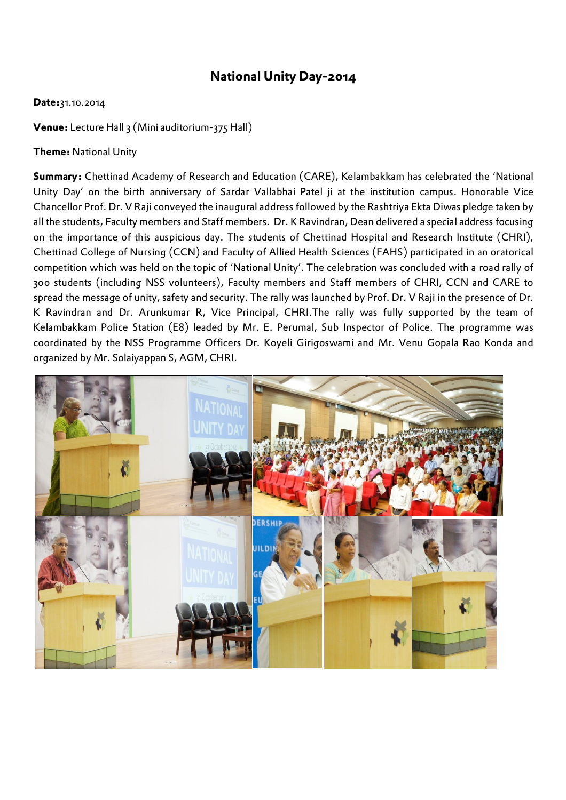## **National Unity Day-2014**

## **Date:**31.10.2014

**Venue:** Lecture Hall 3 (Mini auditorium-375 Hall)

## **Theme:** National Unity

**Summary:** Chettinad Academy of Research and Education (CARE), Kelambakkam has celebrated the 'National Unity Day' on the birth anniversary of Sardar Vallabhai Patel ji at the institution campus. Honorable Vice Chancellor Prof. Dr. V Raji conveyed the inaugural address followed by the Rashtriya Ekta Diwas pledge taken by all the students, Faculty members and Staff members. Dr. K Ravindran, Dean delivered a special address focusing on the importance of this auspicious day. The students of Chettinad Hospital and Research Institute (CHRI), Chettinad College of Nursing (CCN) and Faculty of Allied Health Sciences (FAHS) participated in an oratorical competition which was held on the topic of 'National Unity'. The celebration was concluded with a road rally of 300 students (including NSS volunteers), Faculty members and Staff members of CHRI, CCN and CARE to spread the message of unity, safety and security. The rally was launched by Prof. Dr. V Raji in the presence of Dr. K Ravindran and Dr. Arunkumar R, Vice Principal, CHRI.The rally was fully supported by the team of Kelambakkam Police Station (E8) leaded by Mr. E. Perumal, Sub Inspector of Police. The programme was coordinated by the NSS Programme Officers Dr. Koyeli Girigoswami and Mr. Venu Gopala Rao Konda and organized by Mr. Solaiyappan S, AGM, CHRI.